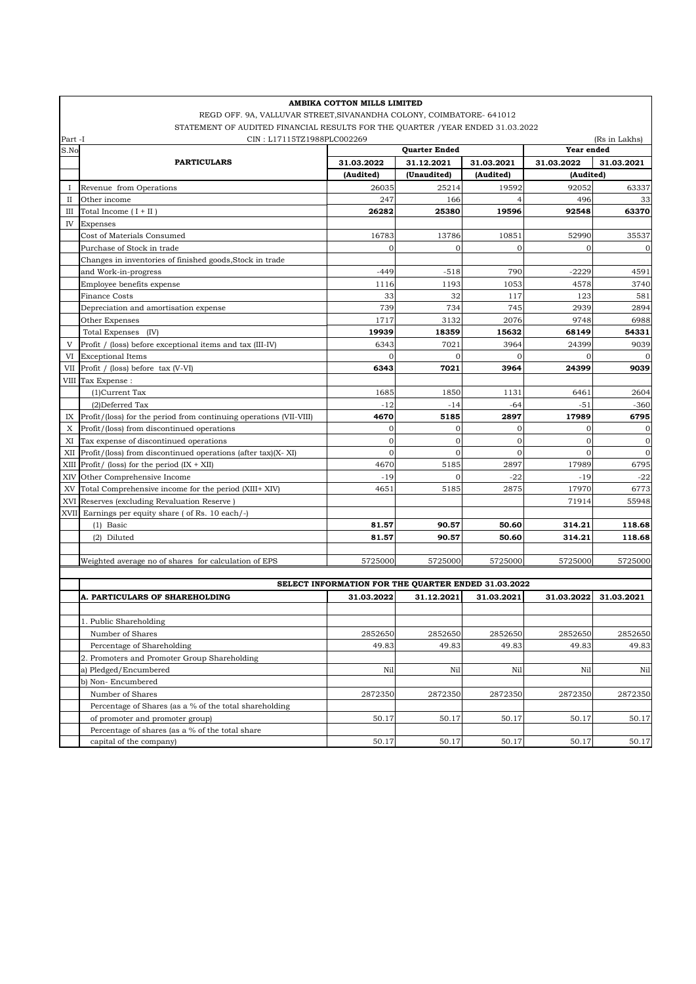| AMBIKA COTTON MILLS LIMITED                                          |                                                                                |            |                      |              |                |                |  |  |  |  |
|----------------------------------------------------------------------|--------------------------------------------------------------------------------|------------|----------------------|--------------|----------------|----------------|--|--|--|--|
| REGD OFF. 9A, VALLUVAR STREET, SIVANANDHA COLONY, COIMBATORE- 641012 |                                                                                |            |                      |              |                |                |  |  |  |  |
|                                                                      | STATEMENT OF AUDITED FINANCIAL RESULTS FOR THE QUARTER / YEAR ENDED 31.03.2022 |            |                      |              |                |                |  |  |  |  |
| Part -I                                                              | CIN: L17115TZ1988PLC002269                                                     |            |                      |              |                | (Rs in Lakhs)  |  |  |  |  |
| S.No                                                                 |                                                                                |            | <b>Quarter Ended</b> |              | Year ended     |                |  |  |  |  |
|                                                                      | <b>PARTICULARS</b>                                                             | 31.03.2022 | 31.12.2021           | 31.03.2021   | 31.03.2022     | 31.03.2021     |  |  |  |  |
|                                                                      |                                                                                | (Audited)  | (Unaudited)          | (Audited)    | (Audited)      |                |  |  |  |  |
| $\bf{I}$                                                             | Revenue from Operations                                                        | 26035      | 25214                | 19592        | 92052          | 63337          |  |  |  |  |
| П                                                                    | Other income                                                                   | 247        | 166                  |              | 496            | 33             |  |  |  |  |
| Ш                                                                    | Total Income $(I + II)$                                                        | 26282      | 25380                | 19596        | 92548          | 63370          |  |  |  |  |
| IV                                                                   | Expenses                                                                       |            |                      |              |                |                |  |  |  |  |
|                                                                      | Cost of Materials Consumed                                                     | 16783      | 13786                | 10851        | 52990          | 35537          |  |  |  |  |
|                                                                      | Purchase of Stock in trade                                                     | $\Omega$   | $\Omega$             | $\mathbf{O}$ | $\Omega$       | $\mathbf{0}$   |  |  |  |  |
|                                                                      | Changes in inventories of finished goods, Stock in trade                       |            |                      |              |                |                |  |  |  |  |
|                                                                      | and Work-in-progress                                                           | $-449$     | $-518$               | 790          | $-2229$        | 4591           |  |  |  |  |
|                                                                      | Employee benefits expense                                                      | 1116       | 1193                 | 1053         | 4578           | 3740           |  |  |  |  |
|                                                                      | <b>Finance Costs</b>                                                           | 33         | 32                   | 117          | 123            | 581            |  |  |  |  |
|                                                                      | Depreciation and amortisation expense                                          | 739        | 734                  | 745          | 2939           | 2894           |  |  |  |  |
|                                                                      | Other Expenses                                                                 | 1717       | 3132                 | 2076         | 9748           | 6988           |  |  |  |  |
|                                                                      | Total Expenses (IV)                                                            | 19939      | 18359                | 15632        | 68149          | 54331          |  |  |  |  |
| V                                                                    | Profit / (loss) before exceptional items and tax (III-IV)                      | 6343       | 7021                 | 3964         | 24399          | 9039           |  |  |  |  |
| VI                                                                   | <b>Exceptional Items</b>                                                       | $\Omega$   | $\Omega$             | $\mathbf{0}$ |                |                |  |  |  |  |
| VII                                                                  | Profit / (loss) before tax (V-VI)                                              | 6343       | 7021                 | 3964         | 24399          | 9039           |  |  |  |  |
| VIII                                                                 | Tax Expense:                                                                   |            |                      |              |                |                |  |  |  |  |
|                                                                      | (1)Current Tax                                                                 | 1685       | 1850                 | 1131         | 6461           | 2604           |  |  |  |  |
|                                                                      | (2) Deferred Tax                                                               | $-12$      | $-14$                | $-64$        | $-51$          | $-360$         |  |  |  |  |
| IX                                                                   | Profit/(loss) for the period from continuing operations (VII-VIII)             | 4670       | 5185                 | 2897         | 17989          | 6795           |  |  |  |  |
| X                                                                    | Profit/(loss) from discontinued operations                                     | $\Omega$   | $\mathbf 0$          | $\mathbf{O}$ | $\overline{0}$ | 0              |  |  |  |  |
| XI                                                                   | Tax expense of discontinued operations                                         | $\Omega$   | $\mathbf{0}$         | $\mathbf{0}$ | $\Omega$       | $\overline{0}$ |  |  |  |  |
| XII                                                                  | Profit/(loss) from discontinued operations (after tax)(X-XI)                   | $\Omega$   | $\mathbf{O}$         | $\mathbf{O}$ | $\Omega$       | $\mathbf{O}$   |  |  |  |  |
| XIII                                                                 | Profit/ (loss) for the period $(IX + XII)$                                     | 4670       | 5185                 | 2897         | 17989          | 6795           |  |  |  |  |
| XIV                                                                  | Other Comprehensive Income                                                     | $-19$      | $\Omega$             | $-22$        | $-19$          | $-22$          |  |  |  |  |
| XV                                                                   | Total Comprehensive income for the period (XIII+ XIV)                          | 4651       | 5185                 | 2875         | 17970          | 6773           |  |  |  |  |
| XVI                                                                  | Reserves (excluding Revaluation Reserve)                                       |            |                      |              | 71914          | 55948          |  |  |  |  |
|                                                                      | XVII Earnings per equity share (of Rs. 10 each/-)                              |            |                      |              |                |                |  |  |  |  |
|                                                                      | $(1)$ Basic                                                                    | 81.57      | 90.57                | 50.60        | 314.21         | 118.68         |  |  |  |  |
|                                                                      | (2) Diluted                                                                    | 81.57      | 90.57                | 50.60        | 314.21         | 118.68         |  |  |  |  |
|                                                                      | Weighted average no of shares for calculation of EPS                           | 5725000    | 5725000              | 5725000      | 5725000        | 5725000        |  |  |  |  |
|                                                                      |                                                                                |            |                      |              |                |                |  |  |  |  |
|                                                                      | SELECT INFORMATION FOR THE QUARTER ENDED 31.03.2022                            |            |                      |              |                |                |  |  |  |  |
|                                                                      | <b>A. PARTICULARS OF SHAREHOLDING</b>                                          | 31.03.2022 | 31.12.2021           | 31.03.2021   | 31.03.2022     | 31.03.2021     |  |  |  |  |
|                                                                      |                                                                                |            |                      |              |                |                |  |  |  |  |
|                                                                      | 1. Public Shareholding                                                         |            |                      |              |                |                |  |  |  |  |
|                                                                      | Number of Shares                                                               | 2852650    | 2852650              | 2852650      | 2852650        | 2852650        |  |  |  |  |
|                                                                      | Percentage of Shareholding                                                     | 49.83      | 49.83                | 49.83        | 49.83          | 49.83          |  |  |  |  |
|                                                                      | 2. Promoters and Promoter Group Shareholding                                   |            |                      |              |                |                |  |  |  |  |
|                                                                      | a) Pledged/Encumbered                                                          | Nil        | Nil                  | Nil          | Nil            | Nil            |  |  |  |  |
|                                                                      | b) Non-Encumbered                                                              |            |                      |              |                |                |  |  |  |  |
|                                                                      | Number of Shares                                                               | 2872350    | 2872350              | 2872350      | 2872350        | 2872350        |  |  |  |  |
|                                                                      | Percentage of Shares (as a % of the total shareholding                         |            |                      |              |                |                |  |  |  |  |
|                                                                      | of promoter and promoter group)                                                | 50.17      | 50.17                | 50.17        | 50.17          | 50.17          |  |  |  |  |
|                                                                      | Percentage of shares (as a % of the total share                                |            |                      |              |                |                |  |  |  |  |
|                                                                      | capital of the company)                                                        | 50.17      | 50.17                | 50.17        | 50.17          | 50.17          |  |  |  |  |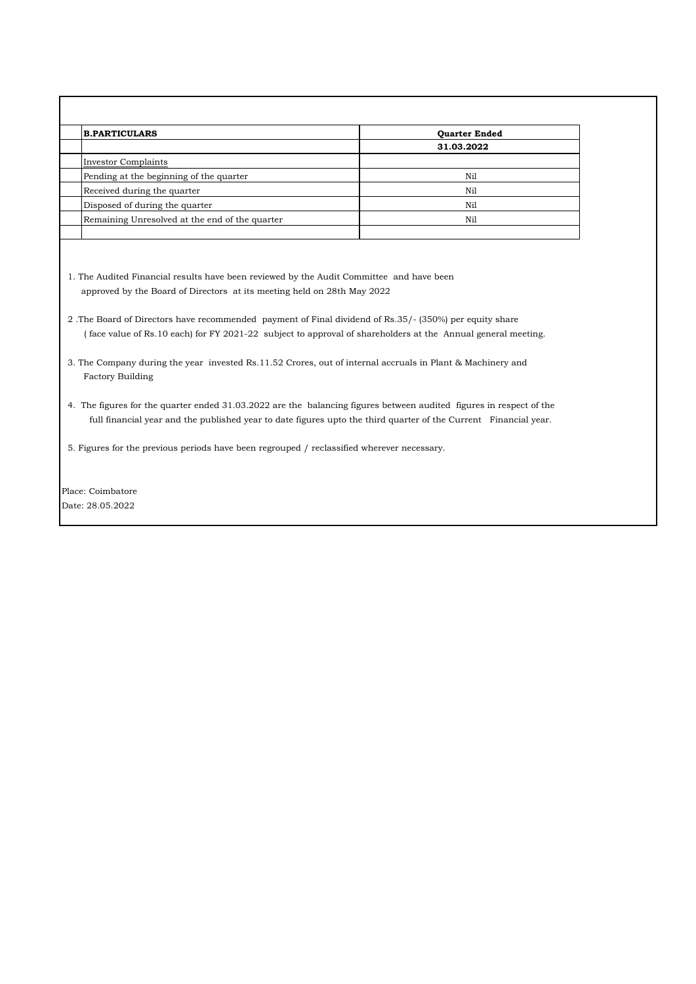| <b>B.PARTICULARS</b>                           | <b>Ouarter Ended</b> |  |  |
|------------------------------------------------|----------------------|--|--|
|                                                | 31.03.2022           |  |  |
| Investor Complaints                            |                      |  |  |
| Pending at the beginning of the quarter        | Nil                  |  |  |
| Received during the quarter                    | Nil                  |  |  |
| Disposed of during the quarter                 | Nil                  |  |  |
| Remaining Unresolved at the end of the quarter | Nil                  |  |  |

1. The Audited Financial results have been reviewed by the Audit Committee and have been approved by the Board of Directors at its meeting held on 28th May 2022

- 2 .The Board of Directors have recommended payment of Final dividend of Rs.35/- (350%) per equity share ( face value of Rs.10 each) for FY 2021-22 subject to approval of shareholders at the Annual general meeting.
- 3. The Company during the year invested Rs.11.52 Crores, out of internal accruals in Plant & Machinery and Factory Building
- 4. The figures for the quarter ended 31.03.2022 are the balancing figures between audited figures in respect of the full financial year and the published year to date figures upto the third quarter of the Current Financial year.
- 5. Figures for the previous periods have been regrouped / reclassified wherever necessary.

Place: Coimbatore Date: 28.05.2022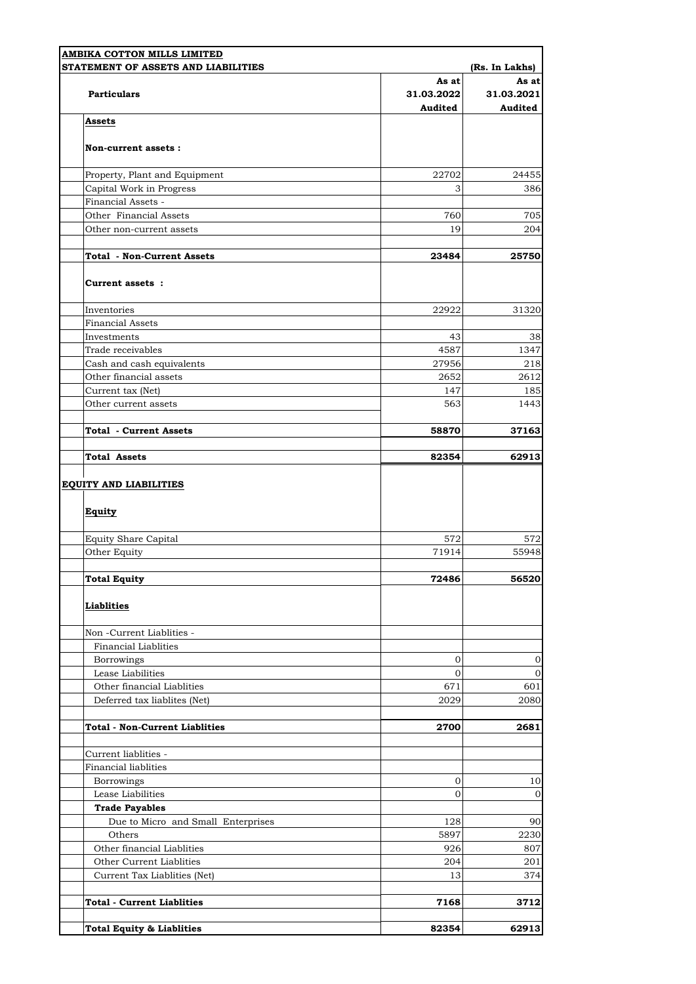| STATEMENT OF ASSETS AND LIABILITIES   |                                | (Rs. In Lakhs)                 |
|---------------------------------------|--------------------------------|--------------------------------|
| <b>Particulars</b>                    | As at<br>31.03.2022<br>Audited | As at<br>31.03.2021<br>Audited |
| <b>Assets</b>                         |                                |                                |
| Non-current assets:                   |                                |                                |
| Property, Plant and Equipment         | 22702                          | 24455                          |
| Capital Work in Progress              | 3                              |                                |
| Financial Assets -                    |                                |                                |
| Other Financial Assets                | 760                            |                                |
| Other non-current assets              | 19                             |                                |
| <b>Total - Non-Current Assets</b>     | 23484                          | 25750                          |
| Current assets :                      |                                |                                |
| Inventories                           | 22922                          | 31320                          |
| <b>Financial Assets</b>               |                                |                                |
| Investments                           | 43                             |                                |
| Trade receivables                     | 4587                           | 1347                           |
| Cash and cash equivalents             | 27956                          |                                |
| Other financial assets                | 2652                           | 2612                           |
| Current tax (Net)                     | 147                            |                                |
| Other current assets                  | 563                            | 1443                           |
| <b>Total - Current Assets</b>         | 58870                          | 37163                          |
| <b>Total Assets</b>                   | 82354                          | 62913                          |
| <b>Equity</b>                         |                                |                                |
| <b>Equity Share Capital</b>           | 572                            |                                |
| Other Equity                          | 71914                          | 55948                          |
| <b>Total Equity</b>                   | 72486                          | 56520                          |
| <b>Liablities</b>                     |                                |                                |
| Non -Current Liablities -             |                                |                                |
| <b>Financial Liablities</b>           |                                |                                |
| Borrowings                            | 0                              |                                |
| Lease Liabilities                     | 0                              |                                |
| Other financial Liablities            | 671                            |                                |
| Deferred tax liablites (Net)          | 2029                           | 2080                           |
| <b>Total - Non-Current Liablities</b> | 2700                           | 2681                           |
| Current liablities -                  |                                |                                |
| <b>Financial liablities</b>           |                                |                                |
| Borrowings                            | 0                              |                                |
| Lease Liabilities                     | 0                              |                                |
| <b>Trade Payables</b>                 |                                |                                |
| Due to Micro and Small Enterprises    | 128                            |                                |
| Others                                | 5897                           | 2230                           |
| Other financial Liablities            | 926                            |                                |
| Other Current Liablities              | 204                            |                                |
| Current Tax Liablities (Net)          | 13                             |                                |
| <b>Total - Current Liablities</b>     | 7168                           | 3712                           |
|                                       |                                | 62913                          |
| <b>Total Equity &amp; Liablities</b>  | 82354                          |                                |